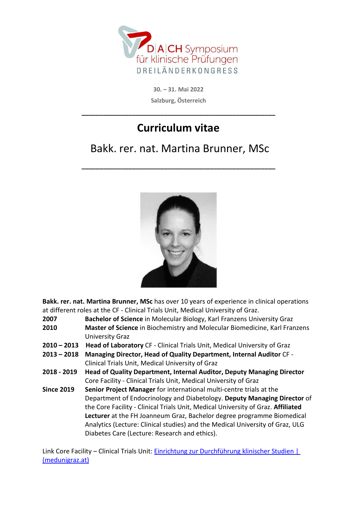

**30. – 31. Mai 2022 Salzburg, Österreich** 

## **Curriculum vitae**

**\_\_\_\_\_\_\_\_\_\_\_\_\_\_\_\_\_\_\_\_\_\_\_\_\_\_\_\_\_\_\_\_\_\_\_\_\_\_\_\_\_\_\_\_\_\_\_\_\_\_\_\_\_\_** 

## Bakk. rer. nat. Martina Brunner, MSc

**\_\_\_\_\_\_\_\_\_\_\_\_\_\_\_\_\_\_\_\_\_\_\_\_\_\_\_\_\_\_\_\_\_\_\_\_\_\_\_\_\_\_\_\_\_\_\_\_\_\_\_\_\_\_** 



**Bakk. rer. nat. Martina Brunner, MSc** has over 10 years of experience in clinical operations at different roles at the CF - Clinical Trials Unit, Medical University of Graz.

- **2007 Bachelor of Science** in Molecular Biology, Karl Franzens University Graz
- **2010 Master of Science** in Biochemistry and Molecular Biomedicine, Karl Franzens University Graz
- **2010 2013 Head of Laboratory** CF Clinical Trials Unit, Medical University of Graz
- **2013 2018 Managing Director, Head of Quality Department, Internal Auditor** CF Clinical Trials Unit, Medical University of Graz
- **2018 2019 Head of Quality Department, Internal Auditor, Deputy Managing Director**  Core Facility - Clinical Trials Unit, Medical University of Graz
- **Since 2019 Senior Project Manager** for international multi-centre trials at the Department of Endocrinology and Diabetology. **Deputy Managing Director** of the Core Facility - Clinical Trials Unit, Medical University of Graz. **Affiliated Lecturer** at the FH Joanneum Graz, Bachelor degree programme Biomedical Analytics (Lecture: Clinical studies) and the Medical University of Graz, ULG Diabetes Care (Lecture: Research and ethics).

Link Core Facility – Clinical Trials Unit: Einrichtung zur Durchführung klinischer Studien | (medunigraz.at)